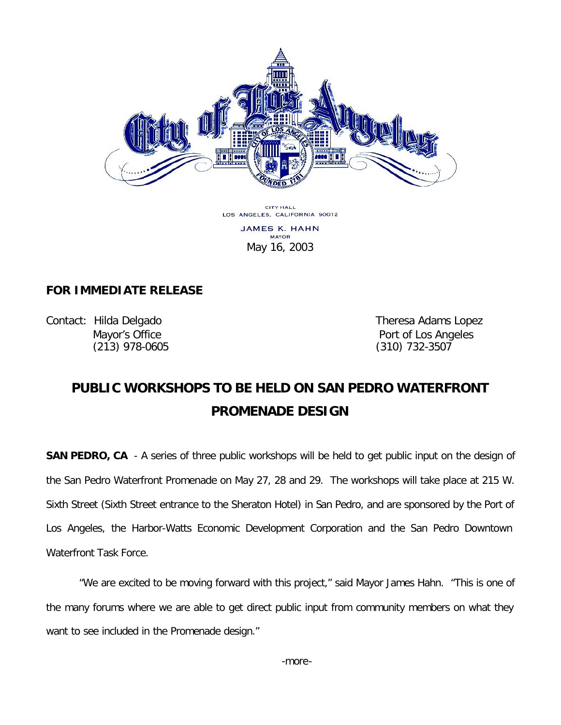

CITY HALL LOS ANGELES, CALIFORNIA 90012

> **JAMES K. HAHN** MAYOR May 16, 2003

# **FOR IMMEDIATE RELEASE**

Contact: Hilda Delgado **Theresa Adams** Lopez

Mayor's Office **Port of Los Angeles** (213) 978-0605 (310) 732-3507

# **PUBLIC WORKSHOPS TO BE HELD ON SAN PEDRO WATERFRONT PROMENADE DESIGN**

**SAN PEDRO, CA** - A series of three public workshops will be held to get public input on the design of the San Pedro Waterfront Promenade on May 27, 28 and 29. The workshops will take place at 215 W. Sixth Street (Sixth Street entrance to the Sheraton Hotel) in San Pedro, and are sponsored by the Port of Los Angeles, the Harbor-Watts Economic Development Corporation and the San Pedro Downtown Waterfront Task Force.

"We are excited to be moving forward with this project," said Mayor James Hahn. "This is one of the many forums where we are able to get direct public input from community members on what they want to see included in the Promenade design."